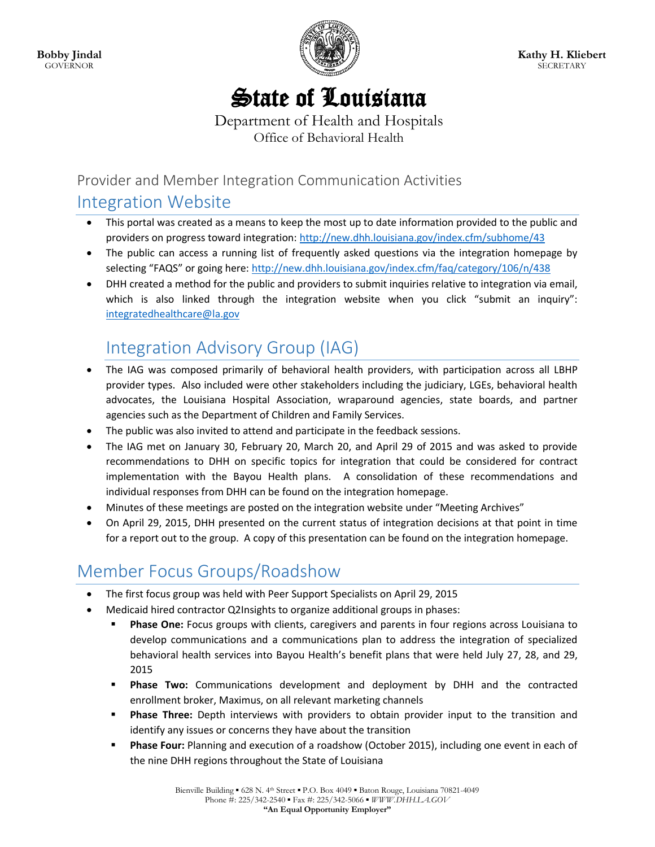

# State of Louisiana

Department of Health and Hospitals Office of Behavioral Health

Provider and Member Integration Communication Activities

#### Integration Website

- This portal was created as a means to keep the most up to date information provided to the public and providers on progress toward integration:<http://new.dhh.louisiana.gov/index.cfm/subhome/43>
- The public can access a running list of frequently asked questions via the integration homepage by selecting "FAQS" or going here: <http://new.dhh.louisiana.gov/index.cfm/faq/category/106/n/438>
- DHH created a method for the public and providers to submit inquiries relative to integration via email, which is also linked through the integration website when you click "submit an inquiry": [integratedhealthcare@la.gov](mailto:integratedhealthcare@la.gov)

## Integration Advisory Group (IAG)

- The IAG was composed primarily of behavioral health providers, with participation across all LBHP provider types. Also included were other stakeholders including the judiciary, LGEs, behavioral health advocates, the Louisiana Hospital Association, wraparound agencies, state boards, and partner agencies such as the Department of Children and Family Services.
- The public was also invited to attend and participate in the feedback sessions.
- The IAG met on January 30, February 20, March 20, and April 29 of 2015 and was asked to provide recommendations to DHH on specific topics for integration that could be considered for contract implementation with the Bayou Health plans. A consolidation of these recommendations and individual responses from DHH can be found on the integration homepage.
- Minutes of these meetings are posted on the integration website under "Meeting Archives"
- On April 29, 2015, DHH presented on the current status of integration decisions at that point in time for a report out to the group. A copy of this presentation can be found on the integration homepage.

# Member Focus Groups/Roadshow

- The first focus group was held with Peer Support Specialists on April 29, 2015
- Medicaid hired contractor Q2Insights to organize additional groups in phases:
	- **Phase One:** Focus groups with clients, caregivers and parents in four regions across Louisiana to develop communications and a communications plan to address the integration of specialized behavioral health services into Bayou Health's benefit plans that were held July 27, 28, and 29, 2015
	- **Phase Two:** Communications development and deployment by DHH and the contracted enrollment broker, Maximus, on all relevant marketing channels
	- **Phase Three:** Depth interviews with providers to obtain provider input to the transition and identify any issues or concerns they have about the transition
	- **Phase Four:** Planning and execution of a roadshow (October 2015), including one event in each of the nine DHH regions throughout the State of Louisiana